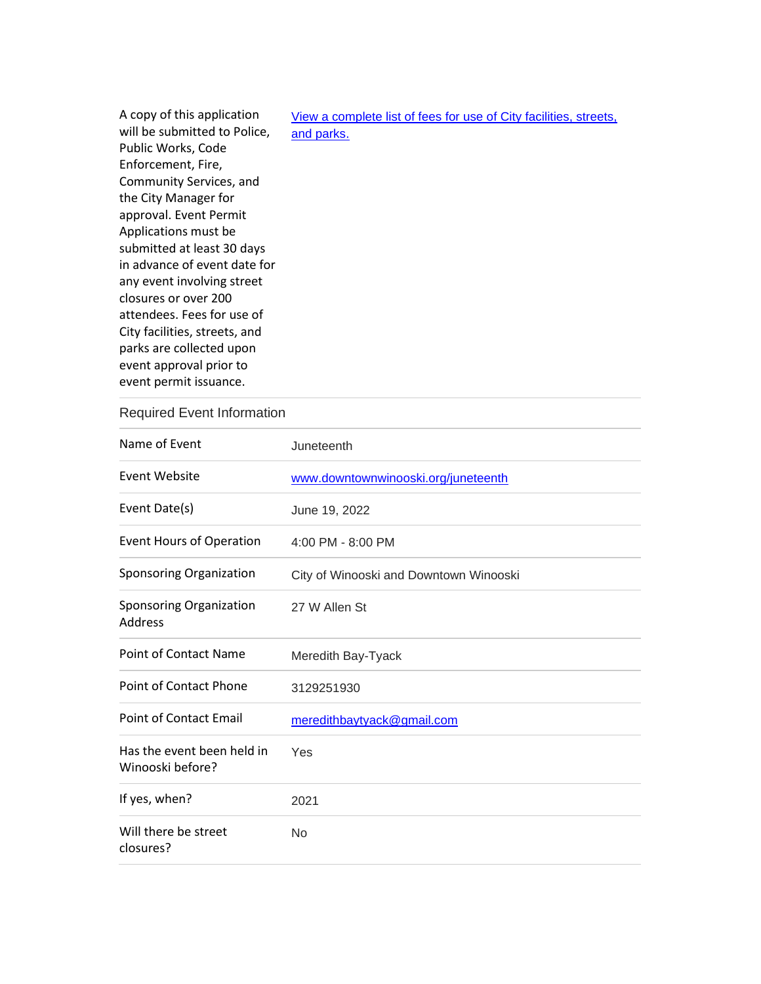| A copy of this application    | View a complete list of fees for use of City facilities, streets, |
|-------------------------------|-------------------------------------------------------------------|
| will be submitted to Police,  | and parks.                                                        |
| Public Works, Code            |                                                                   |
| Enforcement, Fire,            |                                                                   |
| Community Services, and       |                                                                   |
| the City Manager for          |                                                                   |
| approval. Event Permit        |                                                                   |
| Applications must be          |                                                                   |
| submitted at least 30 days    |                                                                   |
| in advance of event date for  |                                                                   |
| any event involving street    |                                                                   |
| closures or over 200          |                                                                   |
| attendees. Fees for use of    |                                                                   |
| City facilities, streets, and |                                                                   |
| parks are collected upon      |                                                                   |
| event approval prior to       |                                                                   |
| event permit issuance.        |                                                                   |

## Required Event Information

| Name of Event                                    | Juneteenth                             |
|--------------------------------------------------|----------------------------------------|
| Event Website                                    | www.downtownwinooski.org/juneteenth    |
| Event Date(s)                                    | June 19, 2022                          |
| <b>Event Hours of Operation</b>                  | 4:00 PM - 8:00 PM                      |
| <b>Sponsoring Organization</b>                   | City of Winooski and Downtown Winooski |
| <b>Sponsoring Organization</b><br><b>Address</b> | 27 W Allen St                          |
| Point of Contact Name                            | Meredith Bay-Tyack                     |
| Point of Contact Phone                           | 3129251930                             |
| <b>Point of Contact Email</b>                    | meredithbaytyack@gmail.com             |
| Has the event been held in<br>Winooski before?   | Yes                                    |
| If yes, when?                                    | 2021                                   |
| Will there be street<br>closures?                | No                                     |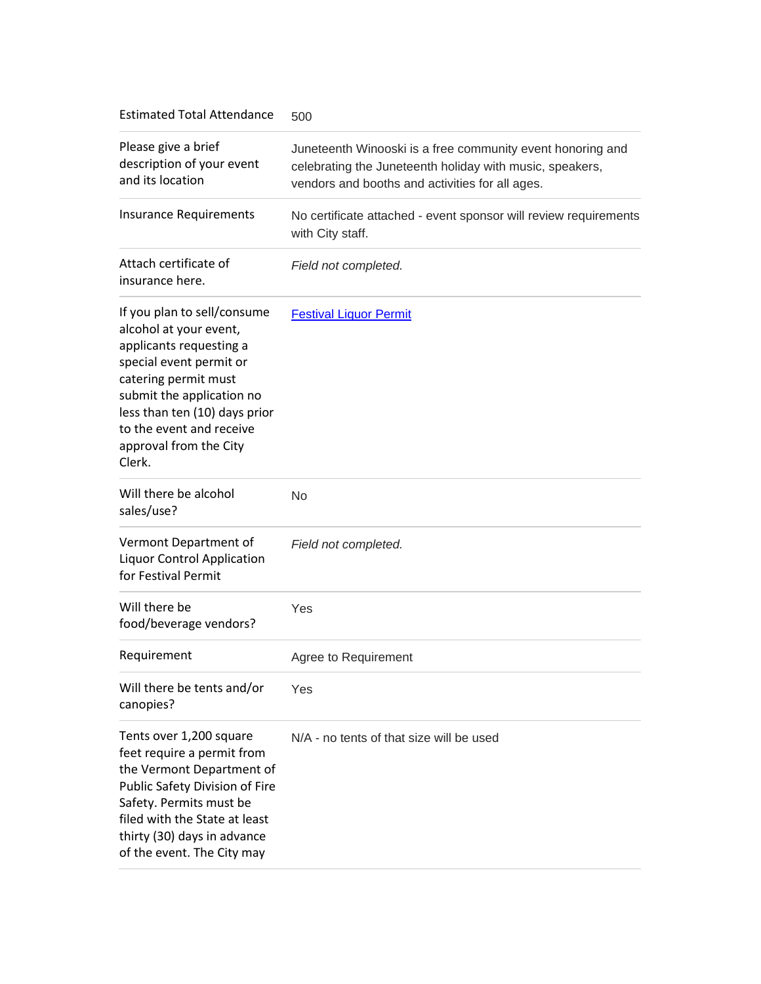Estimated Total Attendance 500

| Please give a brief<br>description of your event<br>and its location                                                                                                                                                                                              | Juneteenth Winooski is a free community event honoring and<br>celebrating the Juneteenth holiday with music, speakers,<br>vendors and booths and activities for all ages. |
|-------------------------------------------------------------------------------------------------------------------------------------------------------------------------------------------------------------------------------------------------------------------|---------------------------------------------------------------------------------------------------------------------------------------------------------------------------|
| <b>Insurance Requirements</b>                                                                                                                                                                                                                                     | No certificate attached - event sponsor will review requirements<br>with City staff.                                                                                      |
| Attach certificate of<br>insurance here.                                                                                                                                                                                                                          | Field not completed.                                                                                                                                                      |
| If you plan to sell/consume<br>alcohol at your event,<br>applicants requesting a<br>special event permit or<br>catering permit must<br>submit the application no<br>less than ten (10) days prior<br>to the event and receive<br>approval from the City<br>Clerk. | <b>Festival Liquor Permit</b>                                                                                                                                             |
| Will there be alcohol<br>sales/use?                                                                                                                                                                                                                               | <b>No</b>                                                                                                                                                                 |
| Vermont Department of<br><b>Liquor Control Application</b><br>for Festival Permit                                                                                                                                                                                 | Field not completed.                                                                                                                                                      |
| Will there be<br>food/beverage vendors?                                                                                                                                                                                                                           | Yes                                                                                                                                                                       |
| Requirement                                                                                                                                                                                                                                                       | Agree to Requirement                                                                                                                                                      |
| Will there be tents and/or<br>canopies?                                                                                                                                                                                                                           | Yes                                                                                                                                                                       |
| Tents over 1,200 square<br>feet require a permit from<br>the Vermont Department of<br>Public Safety Division of Fire<br>Safety. Permits must be<br>filed with the State at least<br>thirty (30) days in advance<br>of the event. The City may                     | N/A - no tents of that size will be used                                                                                                                                  |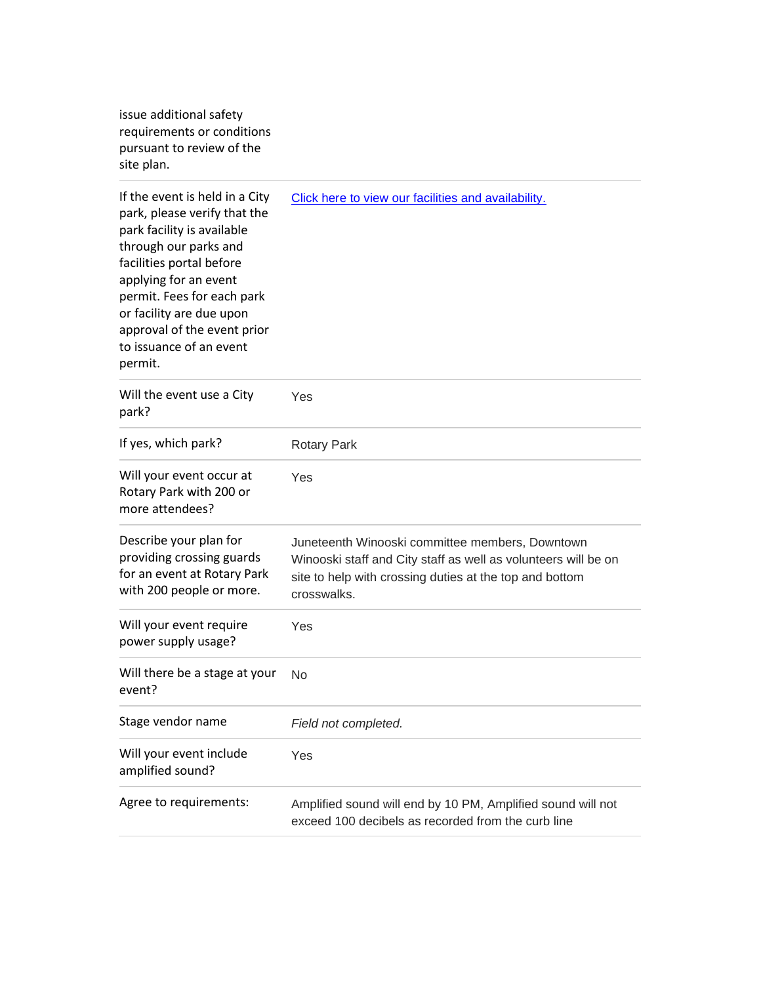issue additional safety requirements or conditions pursuant to review of the site plan.

| If the event is held in a City<br>park, please verify that the<br>park facility is available<br>through our parks and<br>facilities portal before<br>applying for an event<br>permit. Fees for each park<br>or facility are due upon<br>approval of the event prior<br>to issuance of an event<br>permit. | Click here to view our facilities and availability.                                                                                                                                         |
|-----------------------------------------------------------------------------------------------------------------------------------------------------------------------------------------------------------------------------------------------------------------------------------------------------------|---------------------------------------------------------------------------------------------------------------------------------------------------------------------------------------------|
| Will the event use a City<br>park?                                                                                                                                                                                                                                                                        | Yes                                                                                                                                                                                         |
| If yes, which park?                                                                                                                                                                                                                                                                                       | <b>Rotary Park</b>                                                                                                                                                                          |
| Will your event occur at<br>Rotary Park with 200 or<br>more attendees?                                                                                                                                                                                                                                    | Yes                                                                                                                                                                                         |
| Describe your plan for<br>providing crossing guards<br>for an event at Rotary Park<br>with 200 people or more.                                                                                                                                                                                            | Juneteenth Winooski committee members, Downtown<br>Winooski staff and City staff as well as volunteers will be on<br>site to help with crossing duties at the top and bottom<br>crosswalks. |
| Will your event require<br>power supply usage?                                                                                                                                                                                                                                                            | Yes                                                                                                                                                                                         |
| Will there be a stage at your<br>event?                                                                                                                                                                                                                                                                   | No                                                                                                                                                                                          |
| Stage vendor name                                                                                                                                                                                                                                                                                         | Field not completed.                                                                                                                                                                        |
| Will your event include<br>amplified sound?                                                                                                                                                                                                                                                               | Yes                                                                                                                                                                                         |
| Agree to requirements:                                                                                                                                                                                                                                                                                    | Amplified sound will end by 10 PM, Amplified sound will not<br>exceed 100 decibels as recorded from the curb line                                                                           |